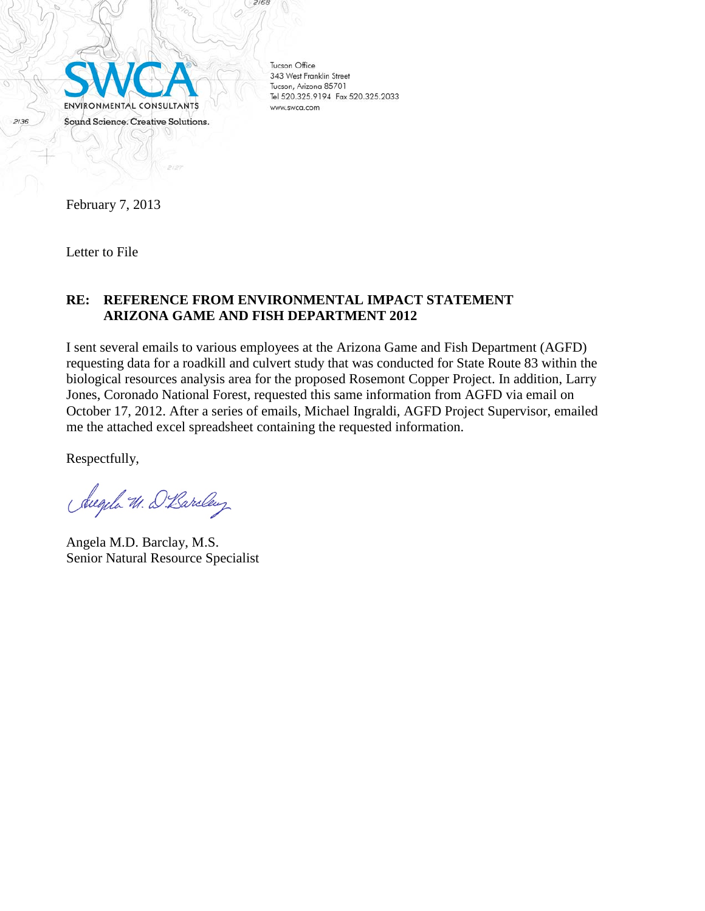

**Tucson Office** 343 West Franklin Street Tucson, Arizona 85701 Tel 520.325.9194 Fax 520.325.2033 www.swca.com

2168

February 7, 2013

Letter to File

## **RE: REFERENCE FROM ENVIRONMENTAL IMPACT STATEMENT ARIZONA GAME AND FISH DEPARTMENT 2012**

I sent several emails to various employees at the Arizona Game and Fish Department (AGFD) requesting data for a roadkill and culvert study that was conducted for State Route 83 within the biological resources analysis area for the proposed Rosemont Copper Project. In addition, Larry Jones, Coronado National Forest, requested this same information from AGFD via email on October 17, 2012. After a series of emails, Michael Ingraldi, AGFD Project Supervisor, emailed me the attached excel spreadsheet containing the requested information.

Respectfully,

Augela W. D. Baroley

Angela M.D. Barclay, M.S. Senior Natural Resource Specialist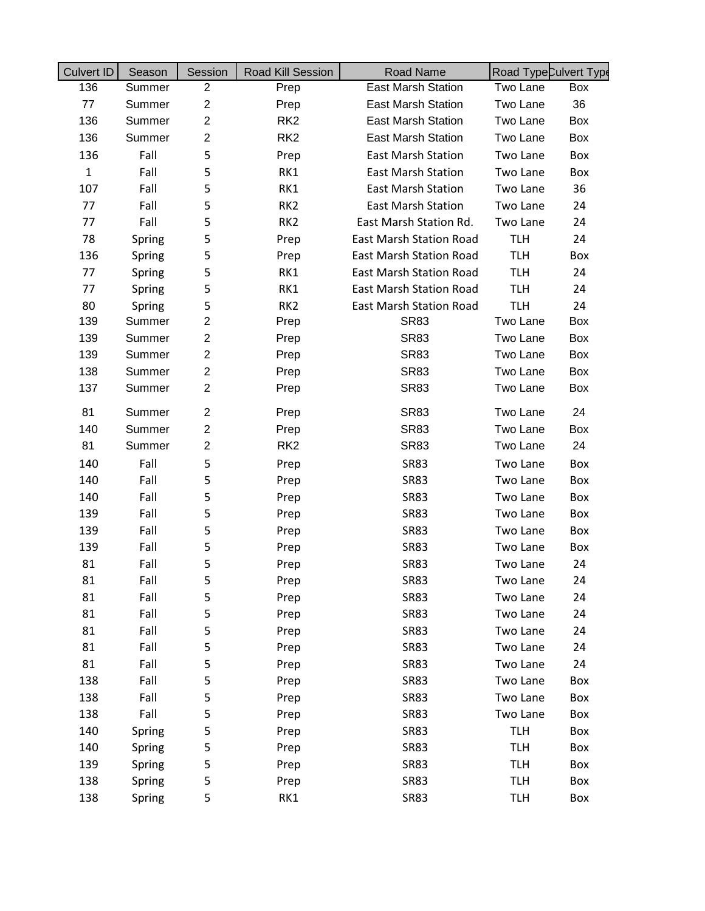| <b>Culvert ID</b> | Season | Session                 | Road Kill Session | <b>Road Name</b>               | Road TypeCulvert Type |     |
|-------------------|--------|-------------------------|-------------------|--------------------------------|-----------------------|-----|
| 136               | Summer | $\overline{2}$          | Prep              | East Marsh Station             | Two Lane              | Box |
| 77                | Summer | $\overline{2}$          | Prep              | <b>East Marsh Station</b>      | Two Lane              | 36  |
| 136               | Summer | $\overline{2}$          | RK <sub>2</sub>   | <b>East Marsh Station</b>      | Two Lane              | Box |
| 136               | Summer | $\overline{2}$          | RK <sub>2</sub>   | <b>East Marsh Station</b>      | Two Lane              | Box |
| 136               | Fall   | 5                       | Prep              | <b>East Marsh Station</b>      | Two Lane              | Box |
| $\mathbf{1}$      | Fall   | 5                       | RK1               | <b>East Marsh Station</b>      | Two Lane              | Box |
| 107               | Fall   | 5                       | RK1               | <b>East Marsh Station</b>      | Two Lane              | 36  |
| 77                | Fall   | 5                       | RK <sub>2</sub>   | <b>East Marsh Station</b>      | Two Lane              | 24  |
| 77                | Fall   | 5                       | RK <sub>2</sub>   | East Marsh Station Rd.         | Two Lane              | 24  |
| 78                | Spring | 5                       | Prep              | <b>East Marsh Station Road</b> | <b>TLH</b>            | 24  |
| 136               | Spring | 5                       | Prep              | <b>East Marsh Station Road</b> | <b>TLH</b>            | Box |
| 77                | Spring | 5                       | RK1               | <b>East Marsh Station Road</b> | <b>TLH</b>            | 24  |
| 77                | Spring | 5                       | RK1               | <b>East Marsh Station Road</b> | <b>TLH</b>            | 24  |
| 80                | Spring | 5                       | RK <sub>2</sub>   | <b>East Marsh Station Road</b> | <b>TLH</b>            | 24  |
| 139               | Summer | $\overline{c}$          | Prep              | <b>SR83</b>                    | Two Lane              | Box |
| 139               | Summer | $\overline{c}$          | Prep              | <b>SR83</b>                    | Two Lane              | Box |
| 139               | Summer | $\overline{\mathbf{c}}$ | Prep              | <b>SR83</b>                    | Two Lane              | Box |
| 138               | Summer | $\overline{c}$          | Prep              | <b>SR83</b>                    | Two Lane              | Box |
| 137               | Summer | $\overline{2}$          | Prep              | <b>SR83</b>                    | Two Lane              | Box |
| 81                | Summer | $\overline{c}$          | Prep              | <b>SR83</b>                    | Two Lane              | 24  |
| 140               | Summer | $\overline{2}$          | Prep              | <b>SR83</b>                    | Two Lane              | Box |
| 81                | Summer | $\overline{2}$          | RK <sub>2</sub>   | <b>SR83</b>                    | Two Lane              | 24  |
| 140               | Fall   | 5                       | Prep              | <b>SR83</b>                    | Two Lane              | Box |
| 140               | Fall   | 5                       | Prep              | <b>SR83</b>                    | Two Lane              | Box |
| 140               | Fall   | 5                       | Prep              | <b>SR83</b>                    | Two Lane              | Box |
| 139               | Fall   | 5                       | Prep              | <b>SR83</b>                    | Two Lane              | Box |
| 139               | Fall   | 5                       | Prep              | <b>SR83</b>                    | Two Lane              | Box |
| 139               | Fall   | 5                       | Prep              | <b>SR83</b>                    | Two Lane              | Box |
| 81                | Fall   | 5                       | Prep              | <b>SR83</b>                    | Two Lane              | 24  |
| 81                | Fall   | 5                       | Prep              | <b>SR83</b>                    | Two Lane              | 24  |
| 81                | Fall   | 5                       | Prep              | <b>SR83</b>                    | Two Lane              | 24  |
| 81                | Fall   | 5                       | Prep              | <b>SR83</b>                    | Two Lane              | 24  |
| 81                | Fall   | 5                       | Prep              | <b>SR83</b>                    | Two Lane              | 24  |
| 81                | Fall   | 5                       | Prep              | <b>SR83</b>                    | Two Lane              | 24  |
| 81                | Fall   | 5                       | Prep              | <b>SR83</b>                    | Two Lane              | 24  |
| 138               | Fall   | 5                       | Prep              | <b>SR83</b>                    | Two Lane              | Box |
| 138               | Fall   | 5                       | Prep              | <b>SR83</b>                    | Two Lane              | Box |
| 138               | Fall   | 5                       | Prep              | <b>SR83</b>                    | Two Lane              | Box |
| 140               | Spring | 5                       | Prep              | <b>SR83</b>                    | <b>TLH</b>            | Box |
| 140               | Spring | 5                       | Prep              | <b>SR83</b>                    | <b>TLH</b>            | Box |
| 139               | Spring | 5                       | Prep              | <b>SR83</b>                    | <b>TLH</b>            | Box |
| 138               | Spring | 5                       | Prep              | <b>SR83</b>                    | <b>TLH</b>            | Box |
| 138               | Spring | 5                       | RK1               | <b>SR83</b>                    | <b>TLH</b>            | Box |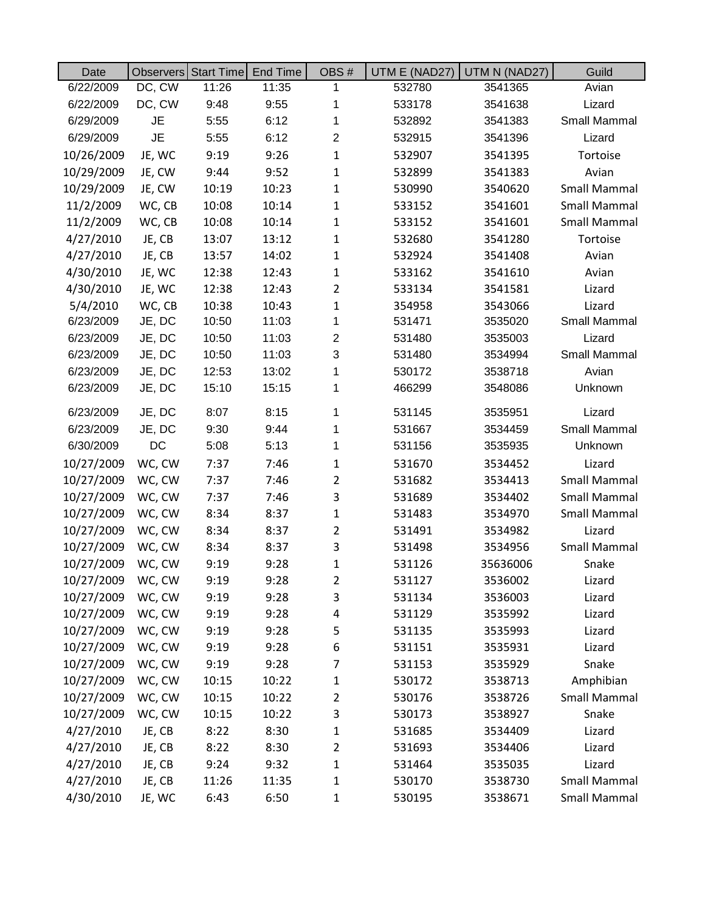| Date       |           | Observers Start Time | End Time | OBS#           | UTM E (NAD27) | UTM N (NAD27) | Guild               |
|------------|-----------|----------------------|----------|----------------|---------------|---------------|---------------------|
| 6/22/2009  | DC, CW    | 11:26                | 11:35    | 1              | 532780        | 3541365       | Avian               |
| 6/22/2009  | DC, CW    | 9:48                 | 9:55     | 1              | 533178        | 3541638       | Lizard              |
| 6/29/2009  | <b>JE</b> | 5:55                 | 6:12     | 1              | 532892        | 3541383       | Small Mammal        |
| 6/29/2009  | <b>JE</b> | 5:55                 | 6:12     | $\overline{2}$ | 532915        | 3541396       | Lizard              |
| 10/26/2009 | JE, WC    | 9:19                 | 9:26     | $\mathbf{1}$   | 532907        | 3541395       | Tortoise            |
| 10/29/2009 | JE, CW    | 9:44                 | 9:52     | $\mathbf{1}$   | 532899        | 3541383       | Avian               |
| 10/29/2009 | JE, CW    | 10:19                | 10:23    | $\mathbf{1}$   | 530990        | 3540620       | Small Mammal        |
| 11/2/2009  | WC, CB    | 10:08                | 10:14    | $\mathbf{1}$   | 533152        | 3541601       | <b>Small Mammal</b> |
| 11/2/2009  | WC, CB    | 10:08                | 10:14    | $\mathbf{1}$   | 533152        | 3541601       | Small Mammal        |
| 4/27/2010  | JE, CB    | 13:07                | 13:12    | $\mathbf{1}$   | 532680        | 3541280       | Tortoise            |
| 4/27/2010  | JE, CB    | 13:57                | 14:02    | $\mathbf{1}$   | 532924        | 3541408       | Avian               |
| 4/30/2010  | JE, WC    | 12:38                | 12:43    | $\mathbf{1}$   | 533162        | 3541610       | Avian               |
| 4/30/2010  | JE, WC    | 12:38                | 12:43    | $\overline{2}$ | 533134        | 3541581       | Lizard              |
| 5/4/2010   | WC, CB    | 10:38                | 10:43    | $\mathbf{1}$   | 354958        | 3543066       | Lizard              |
| 6/23/2009  | JE, DC    | 10:50                | 11:03    | 1              | 531471        | 3535020       | Small Mammal        |
| 6/23/2009  | JE, DC    | 10:50                | 11:03    | $\overline{c}$ | 531480        | 3535003       | Lizard              |
| 6/23/2009  | JE, DC    | 10:50                | 11:03    | 3              | 531480        | 3534994       | Small Mammal        |
| 6/23/2009  | JE, DC    | 12:53                | 13:02    | 1              | 530172        | 3538718       | Avian               |
| 6/23/2009  | JE, DC    | 15:10                | 15:15    | 1              | 466299        | 3548086       | Unknown             |
| 6/23/2009  | JE, DC    | 8:07                 | 8:15     | 1              | 531145        | 3535951       | Lizard              |
| 6/23/2009  | JE, DC    | 9:30                 | 9:44     | 1              | 531667        | 3534459       | Small Mammal        |
| 6/30/2009  | DC        | 5:08                 | 5:13     | 1              | 531156        | 3535935       | Unknown             |
| 10/27/2009 | WC, CW    | 7:37                 | 7:46     | $\mathbf{1}$   | 531670        | 3534452       | Lizard              |
| 10/27/2009 | WC, CW    | 7:37                 | 7:46     | $\overline{2}$ | 531682        | 3534413       | <b>Small Mammal</b> |
| 10/27/2009 | WC, CW    | 7:37                 | 7:46     | 3              | 531689        | 3534402       | <b>Small Mammal</b> |
| 10/27/2009 | WC, CW    | 8:34                 | 8:37     | $\mathbf{1}$   | 531483        | 3534970       | <b>Small Mammal</b> |
| 10/27/2009 | WC, CW    | 8:34                 | 8:37     | $\overline{2}$ | 531491        | 3534982       | Lizard              |
| 10/27/2009 | WC, CW    | 8:34                 | 8:37     | 3              | 531498        | 3534956       | Small Mammal        |
| 10/27/2009 | WC, CW    | 9:19                 | 9:28     | $\mathbf{1}$   | 531126        | 35636006      | Snake               |
| 10/27/2009 | WC, CW    | 9:19                 | 9:28     | 2              | 531127        | 3536002       | Lizard              |
| 10/27/2009 | WC, CW    | 9:19                 | 9:28     | 3              | 531134        | 3536003       | Lizard              |
| 10/27/2009 | WC, CW    | 9:19                 | 9:28     | 4              | 531129        | 3535992       | Lizard              |
| 10/27/2009 | WC, CW    | 9:19                 | 9:28     | 5              | 531135        | 3535993       | Lizard              |
| 10/27/2009 | WC, CW    | 9:19                 | 9:28     | 6              | 531151        | 3535931       | Lizard              |
| 10/27/2009 | WC, CW    | 9:19                 | 9:28     | 7              | 531153        | 3535929       | Snake               |
| 10/27/2009 | WC, CW    | 10:15                | 10:22    | $\mathbf{1}$   | 530172        | 3538713       | Amphibian           |
| 10/27/2009 | WC, CW    | 10:15                | 10:22    | $\overline{2}$ | 530176        | 3538726       | Small Mammal        |
| 10/27/2009 | WC, CW    | 10:15                | 10:22    | 3              | 530173        | 3538927       | Snake               |
| 4/27/2010  | JE, CB    | 8:22                 | 8:30     | $\mathbf{1}$   | 531685        | 3534409       | Lizard              |
| 4/27/2010  | JE, CB    | 8:22                 | 8:30     | 2              | 531693        | 3534406       | Lizard              |
| 4/27/2010  | JE, CB    | 9:24                 | 9:32     | 1              | 531464        | 3535035       | Lizard              |
| 4/27/2010  | JE, CB    | 11:26                | 11:35    | $\mathbf{1}$   | 530170        | 3538730       | <b>Small Mammal</b> |
| 4/30/2010  | JE, WC    | 6:43                 | 6:50     | $\mathbf{1}$   | 530195        | 3538671       | <b>Small Mammal</b> |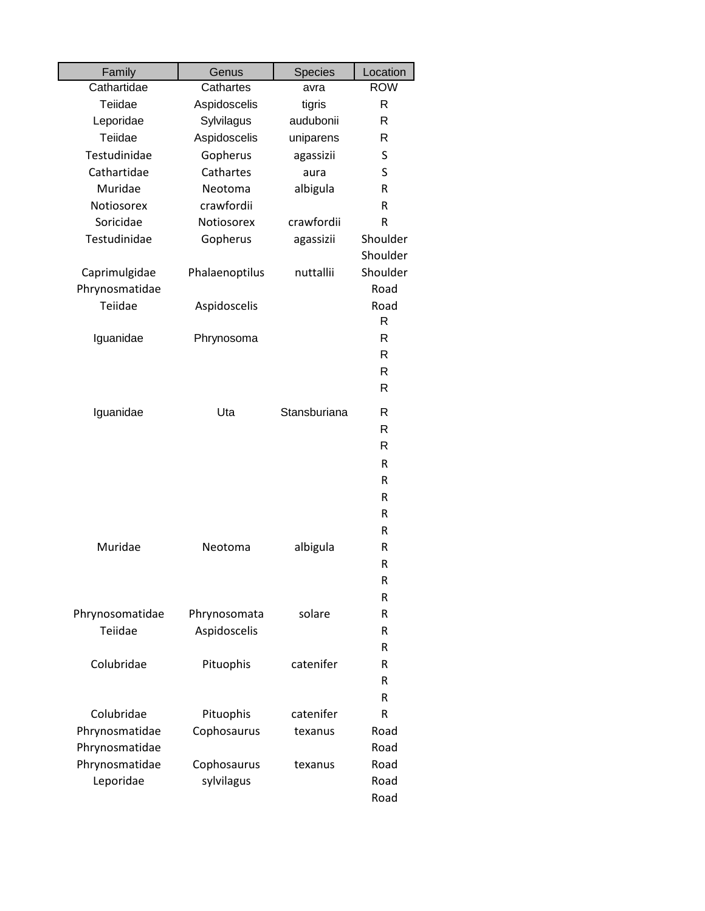| Family          | Genus          | Species      | Location   |
|-----------------|----------------|--------------|------------|
| Cathartidae     | Cathartes      | avra         | <b>ROW</b> |
| Teiidae         | Aspidoscelis   | tigris       | R          |
| Leporidae       | Sylvilagus     | audubonii    | R          |
| Teiidae         | Aspidoscelis   | uniparens    | R          |
| Testudinidae    | Gopherus       | agassizii    | S          |
| Cathartidae     | Cathartes      | aura         | S          |
| Muridae         | Neotoma        | albigula     | R          |
| Notiosorex      | crawfordii     |              | R          |
| Soricidae       | Notiosorex     | crawfordii   | R          |
| Testudinidae    | Gopherus       | agassizii    | Shoulder   |
|                 |                |              | Shoulder   |
| Caprimulgidae   | Phalaenoptilus | nuttallii    | Shoulder   |
| Phrynosmatidae  |                |              | Road       |
| Teiidae         | Aspidoscelis   |              | Road       |
|                 |                |              | R          |
| Iguanidae       | Phrynosoma     |              | R          |
|                 |                |              | R          |
|                 |                |              | R          |
|                 |                |              | R          |
| Iguanidae       | Uta            | Stansburiana | R          |
|                 |                |              | R          |
|                 |                |              | R          |
|                 |                |              | R          |
|                 |                |              | R          |
|                 |                |              | R          |
|                 |                |              | R          |
|                 |                |              | R          |
| Muridae         | Neotoma        | albigula     | R          |
|                 |                |              | R          |
|                 |                |              | R          |
|                 |                |              | R          |
| Phrynosomatidae | Phrynosomata   | solare       | R          |
| Teiidae         | Aspidoscelis   |              | R          |
|                 |                |              | R          |
| Colubridae      | Pituophis      | catenifer    | R          |
|                 |                |              | R          |
|                 |                |              | R          |
| Colubridae      | Pituophis      | catenifer    | R          |
| Phrynosmatidae  | Cophosaurus    | texanus      | Road       |
| Phrynosmatidae  |                |              | Road       |
| Phrynosmatidae  | Cophosaurus    | texanus      | Road       |
| Leporidae       | sylvilagus     |              | Road       |
|                 |                |              | Road       |